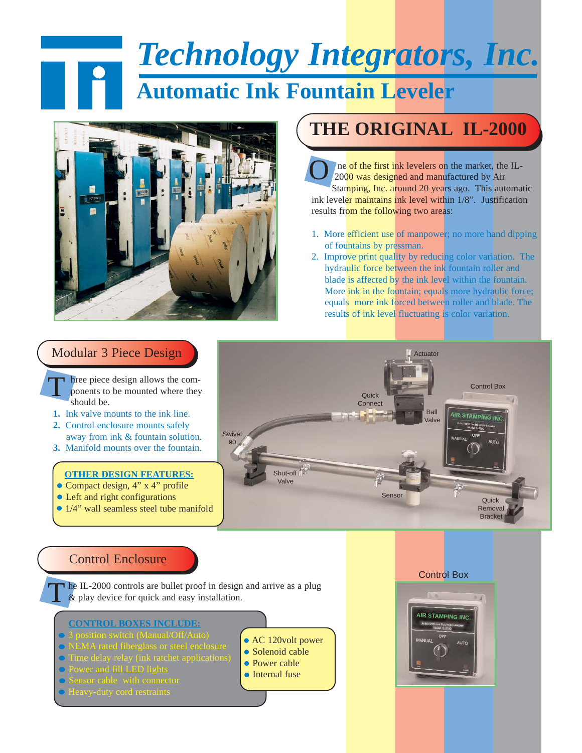# *Technology Integrators, Inc.*

## **Automatic Ink Fountain Leveler**



### **THE ORIGINAL IL-2000**

ne of the first ink levelers on the market, the IL-2000 was designed and manufactured by Air Stamping, Inc. around 20 years ago. This automatic ink leveler maintains ink level within 1/8". Justification results from the following two areas: O

- 1. More efficient use of manpower; no more hand dipping of fountains by pressman.
- 2. Improve print quality by reducing color variation. The hydraulic force between the ink fountain roller and blade is affected by the ink level within the fountain. More ink in the fountain; equals more hydraulic force; equals more ink forced between roller and blade. The results of ink level fluctuating is color variation.

#### Modular 3 Piece Design

- hree piece design allows the components to be mounted where they should be. T
- **1.** Ink valve mounts to the ink line.
- **2.** Control enclosure mounts safely away from ink & fountain solution.
- **3.** Manifold mounts over the fountain.

#### **OTHER DESIGN FEATURES:**

- Compact design, 4" x 4" profile
- Left and right configurations
- 1/4" wall seamless steel tube manifold



#### Control Enclosure

he IL-2000 controls are bullet proof in design and arrive as a plug  $\&$  play device for quick and easy installation.

#### **CONTROL BOXES INCLUDE:**

- 
- 
- Time delay relay (ink ratchet applications)
- 
- 
- Heavy-duty cord restraints
- AC 120volt power
- Solenoid cable
- Power cable
- **Internal fuse**

#### Control Box